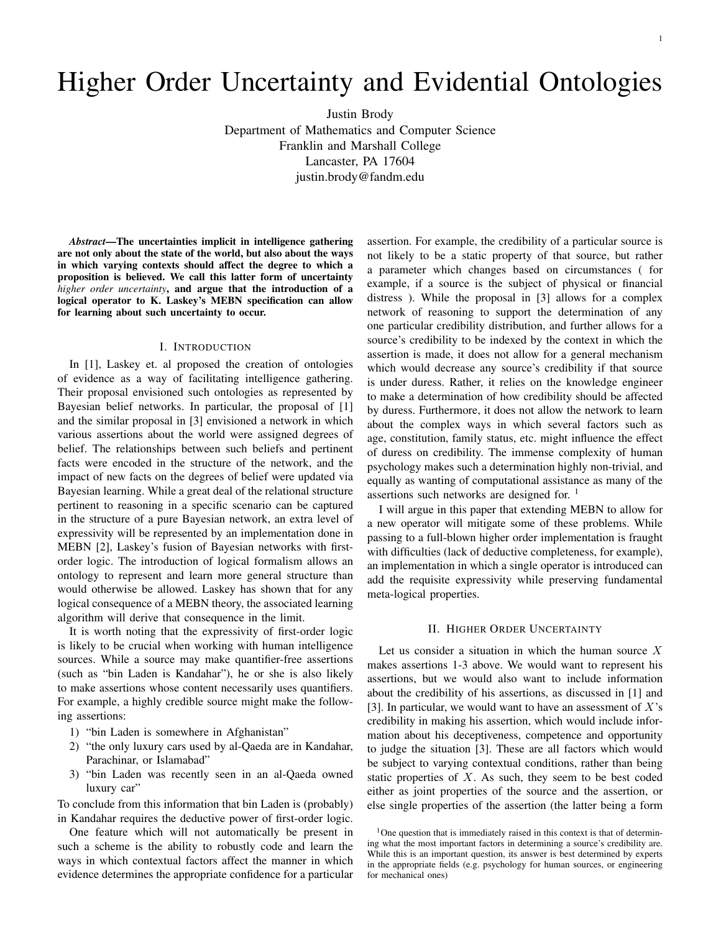# Higher Order Uncertainty and Evidential Ontologies

Justin Brody

Department of Mathematics and Computer Science Franklin and Marshall College Lancaster, PA 17604 justin.brody@fandm.edu

*Abstract*—The uncertainties implicit in intelligence gathering are not only about the state of the world, but also about the ways in which varying contexts should affect the degree to which a proposition is believed. We call this latter form of uncertainty *higher order uncertainty*, and argue that the introduction of a logical operator to K. Laskey's MEBN specification can allow for learning about such uncertainty to occur.

#### I. INTRODUCTION

In [1], Laskey et. al proposed the creation of ontologies of evidence as a way of facilitating intelligence gathering. Their proposal envisioned such ontologies as represented by Bayesian belief networks. In particular, the proposal of [1] and the similar proposal in [3] envisioned a network in which various assertions about the world were assigned degrees of belief. The relationships between such beliefs and pertinent facts were encoded in the structure of the network, and the impact of new facts on the degrees of belief were updated via Bayesian learning. While a great deal of the relational structure pertinent to reasoning in a specific scenario can be captured in the structure of a pure Bayesian network, an extra level of expressivity will be represented by an implementation done in MEBN [2], Laskey's fusion of Bayesian networks with firstorder logic. The introduction of logical formalism allows an ontology to represent and learn more general structure than would otherwise be allowed. Laskey has shown that for any logical consequence of a MEBN theory, the associated learning algorithm will derive that consequence in the limit.

It is worth noting that the expressivity of first-order logic is likely to be crucial when working with human intelligence sources. While a source may make quantifier-free assertions (such as "bin Laden is Kandahar"), he or she is also likely to make assertions whose content necessarily uses quantifiers. For example, a highly credible source might make the following assertions:

- 1) "bin Laden is somewhere in Afghanistan"
- 2) "the only luxury cars used by al-Qaeda are in Kandahar, Parachinar, or Islamabad"
- 3) "bin Laden was recently seen in an al-Qaeda owned luxury car"

To conclude from this information that bin Laden is (probably) in Kandahar requires the deductive power of first-order logic.

One feature which will not automatically be present in such a scheme is the ability to robustly code and learn the ways in which contextual factors affect the manner in which evidence determines the appropriate confidence for a particular

assertion. For example, the credibility of a particular source is not likely to be a static property of that source, but rather a parameter which changes based on circumstances ( for example, if a source is the subject of physical or financial distress ). While the proposal in [3] allows for a complex network of reasoning to support the determination of any one particular credibility distribution, and further allows for a source's credibility to be indexed by the context in which the assertion is made, it does not allow for a general mechanism which would decrease any source's credibility if that source is under duress. Rather, it relies on the knowledge engineer to make a determination of how credibility should be affected by duress. Furthermore, it does not allow the network to learn about the complex ways in which several factors such as age, constitution, family status, etc. might influence the effect of duress on credibility. The immense complexity of human psychology makes such a determination highly non-trivial, and equally as wanting of computational assistance as many of the assertions such networks are designed for.  $\frac{1}{1}$ 

I will argue in this paper that extending MEBN to allow for a new operator will mitigate some of these problems. While passing to a full-blown higher order implementation is fraught with difficulties (lack of deductive completeness, for example), an implementation in which a single operator is introduced can add the requisite expressivity while preserving fundamental meta-logical properties.

#### II. HIGHER ORDER UNCERTAINTY

Let us consider a situation in which the human source  $X$ makes assertions 1-3 above. We would want to represent his assertions, but we would also want to include information about the credibility of his assertions, as discussed in [1] and [3]. In particular, we would want to have an assessment of  $X$ 's credibility in making his assertion, which would include information about his deceptiveness, competence and opportunity to judge the situation [3]. These are all factors which would be subject to varying contextual conditions, rather than being static properties of  $X$ . As such, they seem to be best coded either as joint properties of the source and the assertion, or else single properties of the assertion (the latter being a form

<sup>&</sup>lt;sup>1</sup>One question that is immediately raised in this context is that of determining what the most important factors in determining a source's credibility are. While this is an important question, its answer is best determined by experts in the appropriate fields (e.g. psychology for human sources, or engineering for mechanical ones)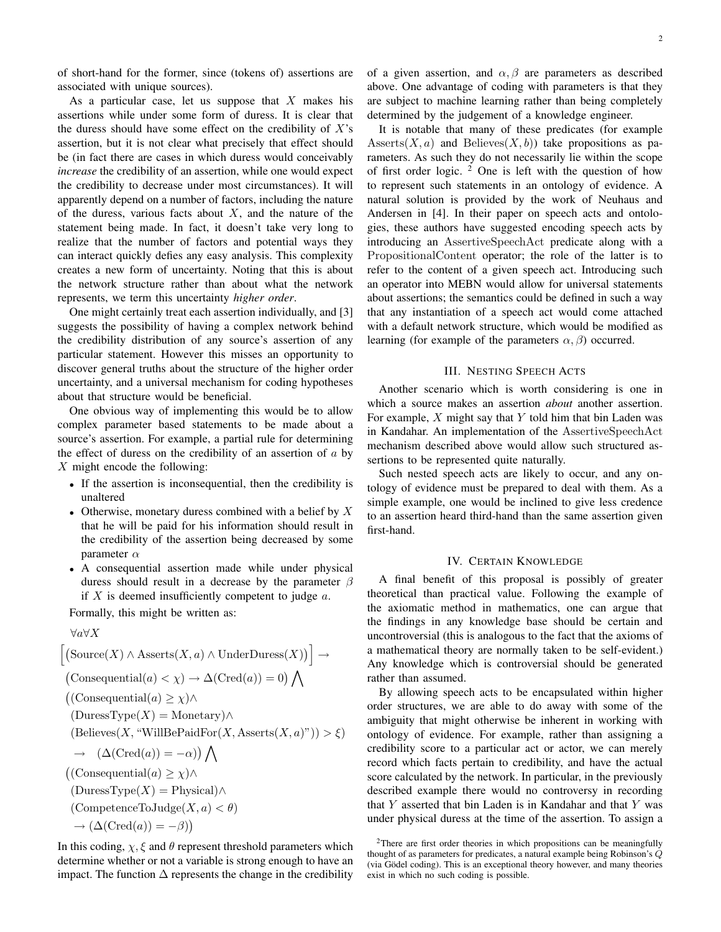of short-hand for the former, since (tokens of) assertions are associated with unique sources).

As a particular case, let us suppose that  $X$  makes his assertions while under some form of duress. It is clear that the duress should have some effect on the credibility of  $X$ 's assertion, but it is not clear what precisely that effect should be (in fact there are cases in which duress would conceivably *increase* the credibility of an assertion, while one would expect the credibility to decrease under most circumstances). It will apparently depend on a number of factors, including the nature of the duress, various facts about  $X$ , and the nature of the statement being made. In fact, it doesn't take very long to realize that the number of factors and potential ways they can interact quickly defies any easy analysis. This complexity creates a new form of uncertainty. Noting that this is about the network structure rather than about what the network represents, we term this uncertainty *higher order*.

One might certainly treat each assertion individually, and [3] suggests the possibility of having a complex network behind the credibility distribution of any source's assertion of any particular statement. However this misses an opportunity to discover general truths about the structure of the higher order uncertainty, and a universal mechanism for coding hypotheses about that structure would be beneficial.

One obvious way of implementing this would be to allow complex parameter based statements to be made about a source's assertion. For example, a partial rule for determining the effect of duress on the credibility of an assertion of  $a$  by  $X$  might encode the following:

- *•* If the assertion is inconsequential, then the credibility is unaltered
- Otherwise, monetary duress combined with a belief by X that he will be paid for his information should result in the credibility of the assertion being decreased by some parameter  $\alpha$
- *•* A consequential assertion made while under physical duress should result in a decrease by the parameter  $\beta$ if  $X$  is deemed insufficiently competent to judge  $a$ .

Formally, this might be written as:

∀a∀X

$$
[(\text{Source}(X) \land \text{Assets}(X, a) \land \text{UnderDures}(X))] \rightarrow
$$
  
\n
$$
(\text{Consequential}(a) < \chi) \rightarrow \Delta(\text{Cred}(a)) = 0) \bigwedge
$$
  
\n
$$
((\text{Consequential}(a) \geq \chi) \land
$$
  
\n
$$
(\text{DuresType}(X) = \text{Monetary}) \land
$$
  
\n
$$
(\text{Believes}(X, \text{``WillBePaidFor}(X, \text{Assets}(X, a)^*)) > \xi)
$$
  
\n
$$
\rightarrow (\Delta(\text{Cred}(a)) = -\alpha) \bigwedge
$$
  
\n
$$
(\text{Consequential}(a) \geq \chi) \land
$$
  
\n
$$
(\text{DuresType}(X) = \text{Physical}) \land
$$
  
\n
$$
(\text{CompetenceToJudge}(X, a) < \theta)
$$
  
\n
$$
\rightarrow (\Delta(\text{Cred}(a)) = -\beta))
$$

In this coding,  $\chi$ ,  $\xi$  and  $\theta$  represent threshold parameters which determine whether or not a variable is strong enough to have an impact. The function  $\Delta$  represents the change in the credibility

of a given assertion, and  $\alpha$ ,  $\beta$  are parameters as described above. One advantage of coding with parameters is that they are subject to machine learning rather than being completely determined by the judgement of a knowledge engineer.

It is notable that many of these predicates (for example Asserts $(X, a)$  and Believes $(X, b)$  take propositions as parameters. As such they do not necessarily lie within the scope of first order logic.  $2$  One is left with the question of how to represent such statements in an ontology of evidence. A natural solution is provided by the work of Neuhaus and Andersen in [4]. In their paper on speech acts and ontologies, these authors have suggested encoding speech acts by introducing an AssertiveSpeechAct predicate along with a PropositionalContent operator; the role of the latter is to refer to the content of a given speech act. Introducing such an operator into MEBN would allow for universal statements about assertions; the semantics could be defined in such a way that any instantiation of a speech act would come attached with a default network structure, which would be modified as learning (for example of the parameters  $\alpha$ ,  $\beta$ ) occurred.

### III. NESTING SPEECH ACTS

Another scenario which is worth considering is one in which a source makes an assertion *about* another assertion. For example,  $X$  might say that  $Y$  told him that bin Laden was in Kandahar. An implementation of the AssertiveSpeechAct mechanism described above would allow such structured assertions to be represented quite naturally.

Such nested speech acts are likely to occur, and any ontology of evidence must be prepared to deal with them. As a simple example, one would be inclined to give less credence to an assertion heard third-hand than the same assertion given first-hand.

### IV. CERTAIN KNOWLEDGE

A final benefit of this proposal is possibly of greater theoretical than practical value. Following the example of the axiomatic method in mathematics, one can argue that the findings in any knowledge base should be certain and uncontroversial (this is analogous to the fact that the axioms of a mathematical theory are normally taken to be self-evident.) Any knowledge which is controversial should be generated rather than assumed.

By allowing speech acts to be encapsulated within higher order structures, we are able to do away with some of the ambiguity that might otherwise be inherent in working with ontology of evidence. For example, rather than assigning a credibility score to a particular act or actor, we can merely record which facts pertain to credibility, and have the actual score calculated by the network. In particular, in the previously described example there would no controversy in recording that  $Y$  asserted that bin Laden is in Kandahar and that  $Y$  was under physical duress at the time of the assertion. To assign a

<sup>2</sup>There are first order theories in which propositions can be meaningfully thought of as parameters for predicates, a natural example being Robinson's *Q* (via Gödel coding). This is an exceptional theory however, and many theories exist in which no such coding is possible.